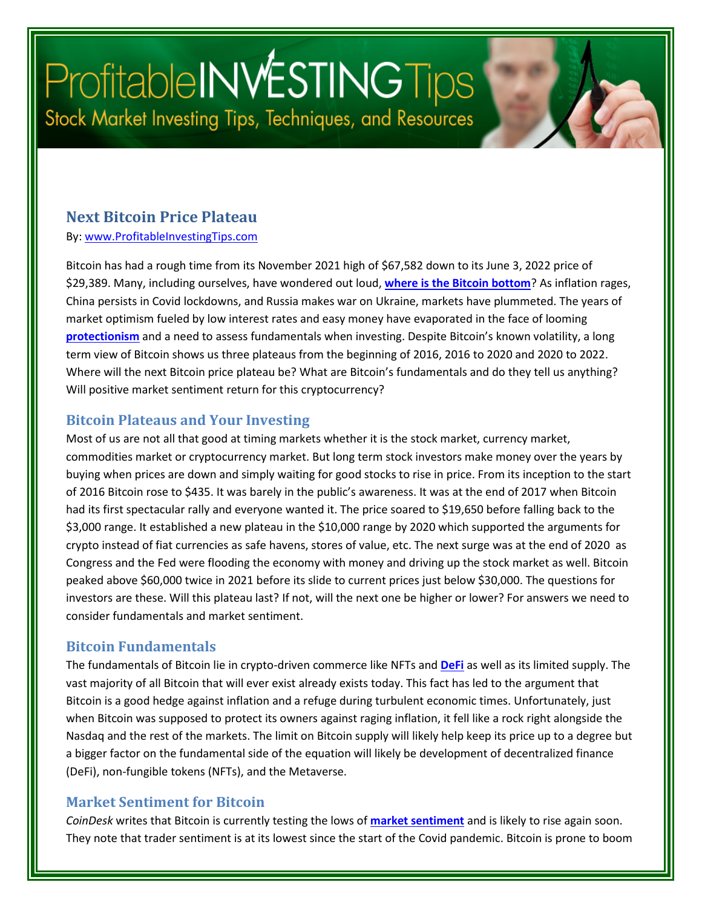# Profitable INVESTING Tips Stock Market Investing Tips, Techniques, and Resources

#### **Next Bitcoin Price Plateau**

By: [www.ProfitableInvestingTips.com](http://www.profitableinvestingtips.com/)

Bitcoin has had a rough time from its November 2021 high of \$67,582 down to its June 3, 2022 price of \$29,389. Many, including ourselves, have wondered out loud, **[where is the Bitcoin bottom](https://profitableinvestingtips.com/profitable-investing-tips/where-is-the-bitcoin-bottom)**? As inflation rages, China persists in Covid lockdowns, and Russia makes war on Ukraine, markets have plummeted. The years of market optimism fueled by low interest rates and easy money have evaporated in the face of looming **[protectionism](https://profitableinvestingtips.com/profitable-investing-tips/protectionism-and-your-investments)** and a need to assess fundamentals when investing. Despite Bitcoin's known volatility, a long term view of Bitcoin shows us three plateaus from the beginning of 2016, 2016 to 2020 and 2020 to 2022. Where will the next Bitcoin price plateau be? What are Bitcoin's fundamentals and do they tell us anything? Will positive market sentiment return for this cryptocurrency?

#### **Bitcoin Plateaus and Your Investing**

Most of us are not all that good at timing markets whether it is the stock market, currency market, commodities market or cryptocurrency market. But long term stock investors make money over the years by buying when prices are down and simply waiting for good stocks to rise in price. From its inception to the start of 2016 Bitcoin rose to \$435. It was barely in the public's awareness. It was at the end of 2017 when Bitcoin had its first spectacular rally and everyone wanted it. The price soared to \$19,650 before falling back to the \$3,000 range. It established a new plateau in the \$10,000 range by 2020 which supported the arguments for crypto instead of fiat currencies as safe havens, stores of value, etc. The next surge was at the end of 2020 as Congress and the Fed were flooding the economy with money and driving up the stock market as well. Bitcoin peaked above \$60,000 twice in 2021 before its slide to current prices just below \$30,000. The questions for investors are these. Will this plateau last? If not, will the next one be higher or lower? For answers we need to consider fundamentals and market sentiment.

#### **Bitcoin Fundamentals**

The fundamentals of Bitcoin lie in crypto-driven commerce like NFTs and **[DeFi](https://profitableinvestingtips.com/profitable-investing-tips/what-is-defi-good-for)** as well as its limited supply. The vast majority of all Bitcoin that will ever exist already exists today. This fact has led to the argument that Bitcoin is a good hedge against inflation and a refuge during turbulent economic times. Unfortunately, just when Bitcoin was supposed to protect its owners against raging inflation, it fell like a rock right alongside the Nasdaq and the rest of the markets. The limit on Bitcoin supply will likely help keep its price up to a degree but a bigger factor on the fundamental side of the equation will likely be development of decentralized finance (DeFi), non-fungible tokens (NFTs), and the Metaverse.

#### **Market Sentiment for Bitcoin**

*CoinDesk* writes that Bitcoin is currently testing the lows of **[market sentiment](https://www.coindesk.com/markets/2022/05/24/bitcoin-records-eighth-week-of-losses-but-sentiment-indicator-suggests-upside/)** and is likely to rise again soon. They note that trader sentiment is at its lowest since the start of the Covid pandemic. Bitcoin is prone to boom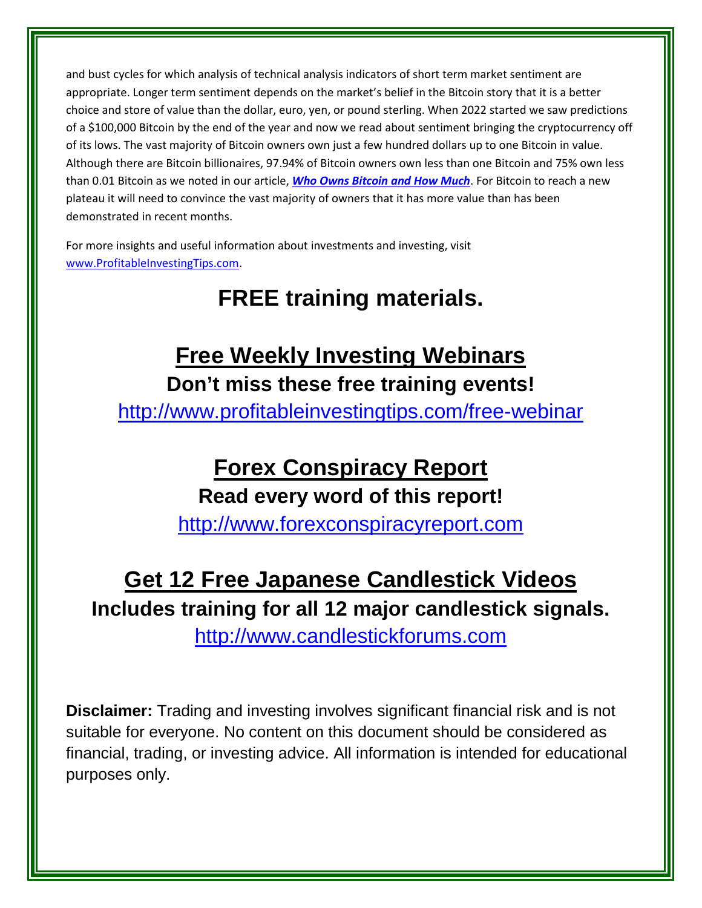and bust cycles for which analysis of technical analysis indicators of short term market sentiment are appropriate. Longer term sentiment depends on the market's belief in the Bitcoin story that it is a better choice and store of value than the dollar, euro, yen, or pound sterling. When 2022 started we saw predictions of a \$100,000 Bitcoin by the end of the year and now we read about sentiment bringing the cryptocurrency off of its lows. The vast majority of Bitcoin owners own just a few hundred dollars up to one Bitcoin in value. Although there are Bitcoin billionaires, 97.94% of Bitcoin owners own less than one Bitcoin and 75% own less than 0.01 Bitcoin as we noted in our article, *[Who Owns Bitcoin and How Much](https://profitableinvestingtips.com/profitable-investing-tips/who-owns-bitcoin-and-how-much)*. For Bitcoin to reach a new plateau it will need to convince the vast majority of owners that it has more value than has been demonstrated in recent months.

For more insights and useful information about investments and investing, visit [www.ProfitableInvestingTips.com.](http://www.profitableinvestingtips.com/)

# **FREE training materials.**

### **Free Weekly Investing Webinars Don't miss these free training events!**

<http://www.profitableinvestingtips.com/free-webinar>

# **Forex Conspiracy Report**

**Read every word of this report!**

[http://www.forexconspiracyreport.com](http://www.forexconspiracyreport.com/)

# **Get 12 Free Japanese Candlestick Videos Includes training for all 12 major candlestick signals.**

[http://www.candlestickforums.com](http://www.candlestickforums.com/)

**Disclaimer:** Trading and investing involves significant financial risk and is not suitable for everyone. No content on this document should be considered as financial, trading, or investing advice. All information is intended for educational purposes only.